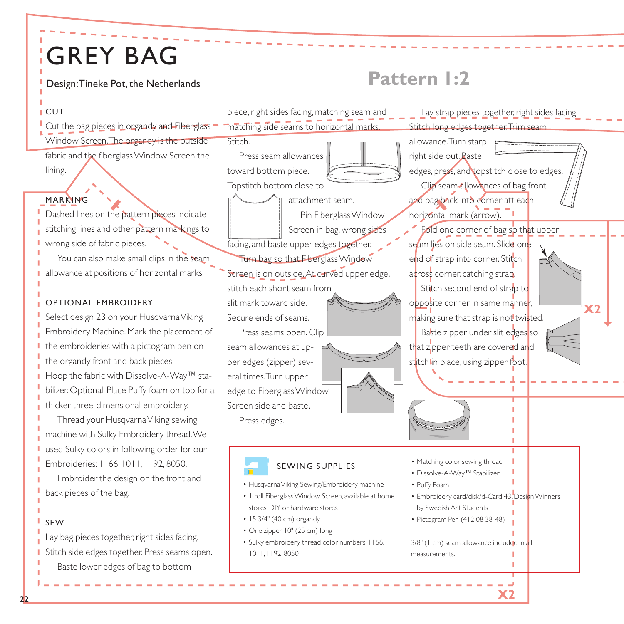## GREY BAG

### **CUT**

Cut the bag pieces in organdy and Fiberglass Window Screen.The organdy is the outside

fabric and the fiberglass Window Screen the lining.

#### MARKING

Dashed lines on the pattern pieces indicate stitching lines and other pattern markings to wrong side of fabric pieces.

You can also make small clips in the seam allowance at positions of horizontal marks.

#### OPTIONAL EMBROIDERY

Select design 23 on your Husqvarna Viking Embroidery Machine. Mark the placement of the embroideries with a pictogram pen on the organdy front and back pieces. Hoop the fabric with Dissolve-A-Way™ sta-

bilizer. Optional: Place Puffy foam on top for a thicker three-dimensional embroidery.

Thread your Husqvarna Viking sewing machine with Sulky Embroidery thread.We used Sulky colors in following order for our Embroideries: 1166, 1011, 1192, 8050.

Embroider the design on the front and back pieces of the bag.

#### SEW

Lay bag pieces together, right sides facing. Stitch side edges together. Press seams open. Baste lower edges of bag to bottom

# Design:Tineke Pot, the Netherlands **Pattern 1:2**



**X2** 

**22**